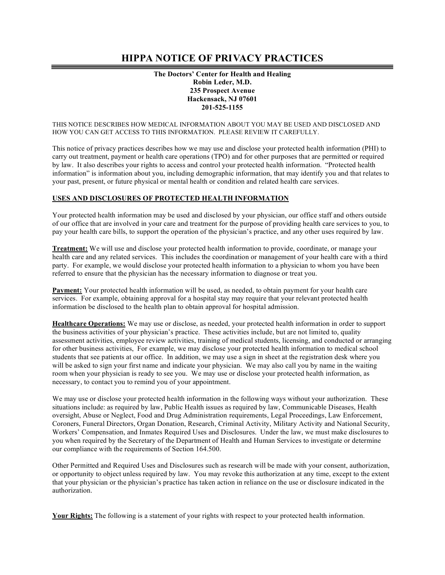# **HIPPA NOTICE OF PRIVACY PRACTICES**

## **The Doctors' Center for Health and Healing Robin Leder, M.D. 235 Prospect Avenue Hackensack, NJ 07601 201-525-1155**

#### THIS NOTICE DESCRIBES HOW MEDICAL INFORMATION ABOUT YOU MAY BE USED AND DISCLOSED AND HOW YOU CAN GET ACCESS TO THIS INFORMATION. PLEASE REVIEW IT CAREFULLY.

This notice of privacy practices describes how we may use and disclose your protected health information (PHI) to carry out treatment, payment or health care operations (TPO) and for other purposes that are permitted or required by law. It also describes your rights to access and control your protected health information. "Protected health information" is information about you, including demographic information, that may identify you and that relates to your past, present, or future physical or mental health or condition and related health care services.

### **USES AND DISCLOSURES OF PROTECTED HEALTH INFORMATION**

Your protected health information may be used and disclosed by your physician, our office staff and others outside of our office that are involved in your care and treatment for the purpose of providing health care services to you, to pay your health care bills, to support the operation of the physician's practice, and any other uses required by law.

**Treatment:** We will use and disclose your protected health information to provide, coordinate, or manage your health care and any related services. This includes the coordination or management of your health care with a third party. For example, we would disclose your protected health information to a physician to whom you have been referred to ensure that the physician has the necessary information to diagnose or treat you.

**Payment:** Your protected health information will be used, as needed, to obtain payment for your health care services. For example, obtaining approval for a hospital stay may require that your relevant protected health information be disclosed to the health plan to obtain approval for hospital admission.

**Healthcare Operations:** We may use or disclose, as needed, your protected health information in order to support the business activities of your physician's practice. These activities include, but are not limited to, quality assessment activities, employee review activities, training of medical students, licensing, and conducted or arranging for other business activities, For example, we may disclose your protected health information to medical school students that see patients at our office. In addition, we may use a sign in sheet at the registration desk where you will be asked to sign your first name and indicate your physician. We may also call you by name in the waiting room when your physician is ready to see you. We may use or disclose your protected health information, as necessary, to contact you to remind you of your appointment.

We may use or disclose your protected health information in the following ways without your authorization. These situations include: as required by law, Public Health issues as required by law, Communicable Diseases, Health oversight, Abuse or Neglect, Food and Drug Administration requirements, Legal Proceedings, Law Enforcement, Coroners, Funeral Directors, Organ Donation, Research, Criminal Activity, Military Activity and National Security, Workers' Compensation, and Inmates Required Uses and Disclosures. Under the law, we must make disclosures to you when required by the Secretary of the Department of Health and Human Services to investigate or determine our compliance with the requirements of Section 164.500.

Other Permitted and Required Uses and Disclosures such as research will be made with your consent, authorization, or opportunity to object unless required by law. You may revoke this authorization at any time, except to the extent that your physician or the physician's practice has taken action in reliance on the use or disclosure indicated in the authorization.

**Your Rights:** The following is a statement of your rights with respect to your protected health information.